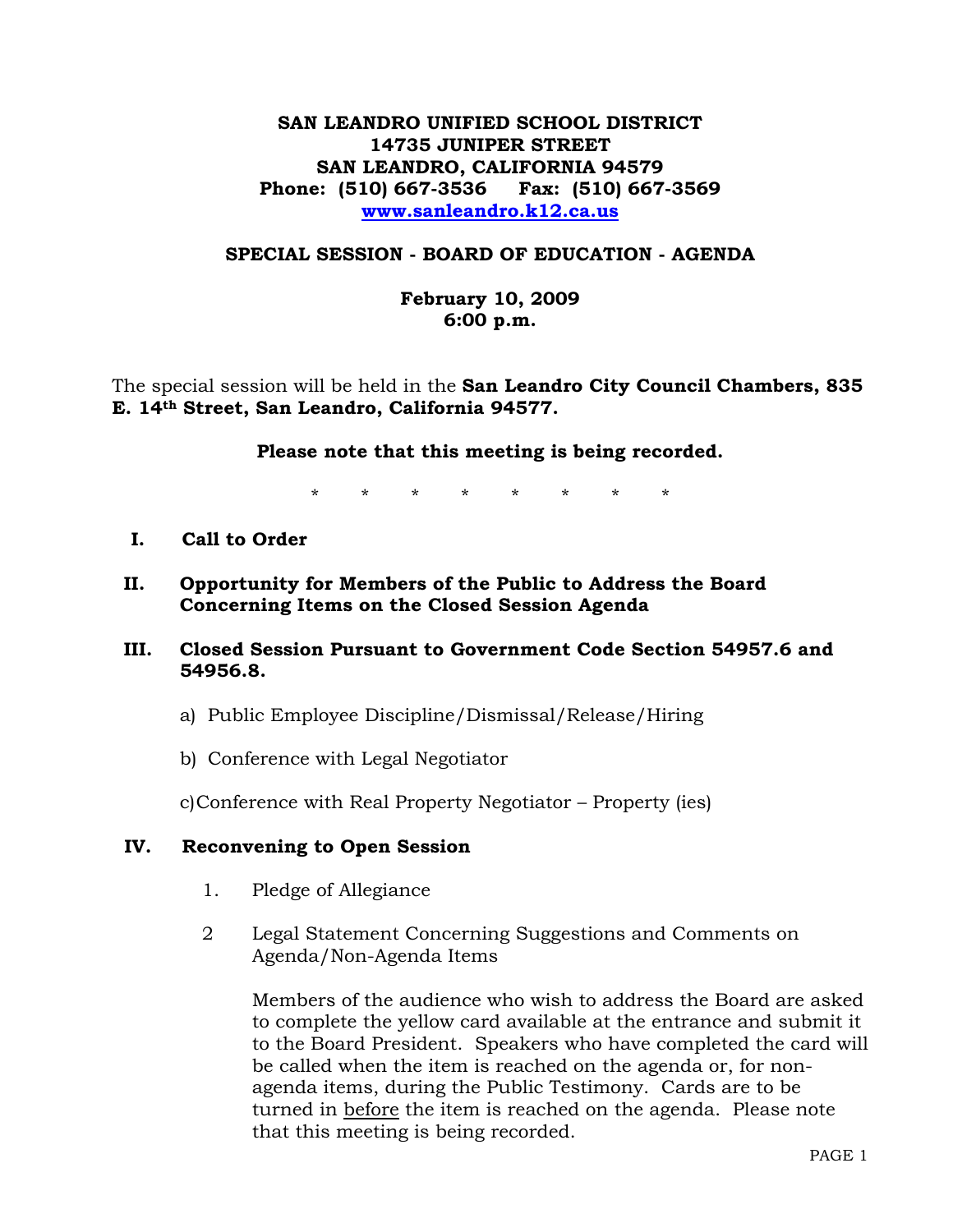# **SAN LEANDRO UNIFIED SCHOOL DISTRICT 14735 JUNIPER STREET SAN LEANDRO, CALIFORNIA 94579 Phone: (510) 667-3536 Fax: (510) 667-3569 www.sanleandro.k12.ca.us**

### **SPECIAL SESSION - BOARD OF EDUCATION - AGENDA**

## **February 10, 2009 6:00 p.m.**

The special session will be held in the **San Leandro City Council Chambers, 835 E. 14th Street, San Leandro, California 94577.** 

### **Please note that this meeting is being recorded.**

\* \* \* \* \* \* \* \*

- **I. Call to Order**
- **II. Opportunity for Members of the Public to Address the Board Concerning Items on the Closed Session Agenda**

## **III. Closed Session Pursuant to Government Code Section 54957.6 and 54956.8.**

- a) Public Employee Discipline/Dismissal/Release/Hiring
- b) Conference with Legal Negotiator

c)Conference with Real Property Negotiator – Property (ies)

#### **IV. Reconvening to Open Session**

- 1. Pledge of Allegiance
- 2 Legal Statement Concerning Suggestions and Comments on Agenda/Non-Agenda Items

Members of the audience who wish to address the Board are asked to complete the yellow card available at the entrance and submit it to the Board President. Speakers who have completed the card will be called when the item is reached on the agenda or, for nonagenda items, during the Public Testimony. Cards are to be turned in before the item is reached on the agenda. Please note that this meeting is being recorded.